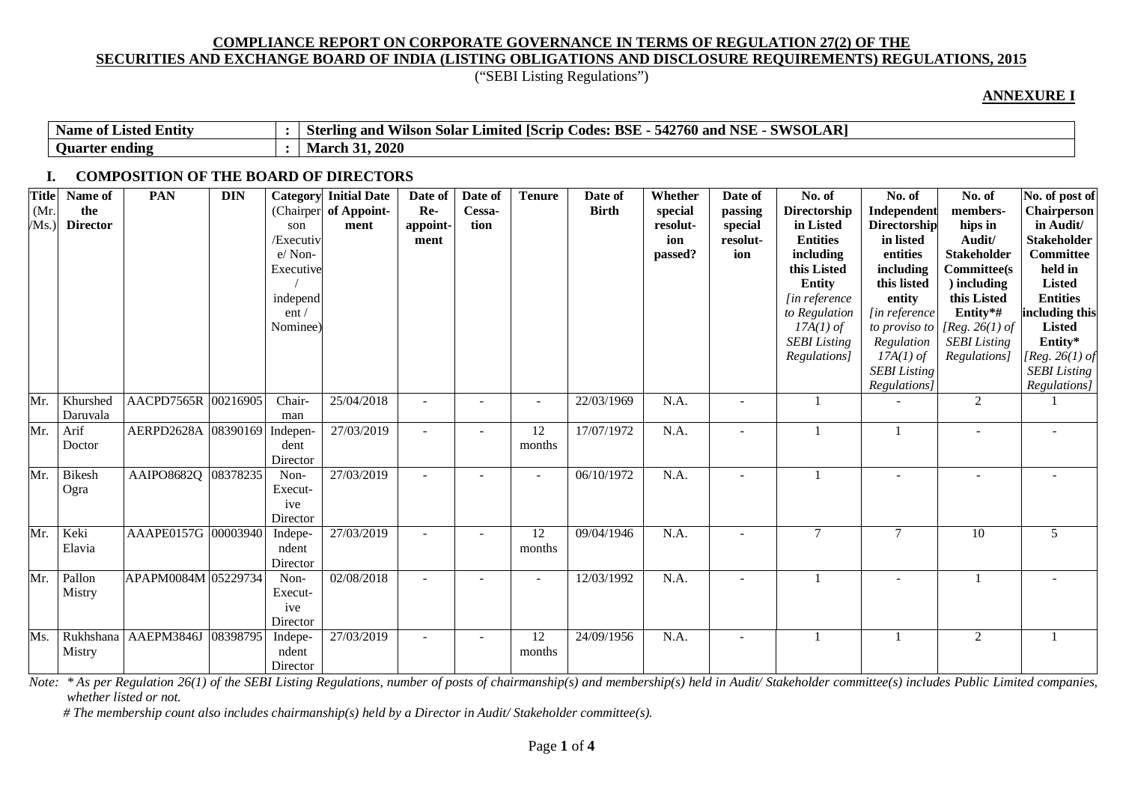("SEBI Listing Regulations")

#### **ANNEXURE I**

| $\overline{\phantom{a}}$<br>. Entity<br>Name<br>* Listed ·<br>- of | си/слі<br><b>NSL</b><br>D.<br>$\overline{A}$<br><b>BSE</b><br>$\sim$<br>- ர<br>760<br>542<br>and<br>Sterling<br>. Solar<br>Limited<br>and<br>odes.<br>. IScrid<br>viison<br>SULAR<br>O VV |
|--------------------------------------------------------------------|-------------------------------------------------------------------------------------------------------------------------------------------------------------------------------------------|
| ending<br><b>Ouarter</b>                                           | .2020<br>March 31.                                                                                                                                                                        |

### **I. COMPOSITION OF THE BOARD OF DIRECTORS**

| <b>Title</b><br>(Mr)<br>/Ms.) | Name of<br>the<br><b>Director</b> | <b>PAN</b>          | <b>DIN</b> | Category<br>son<br>/Executiv<br>e/Non-<br>Executive<br>independ<br>ent/<br>Nominee) | <b>Initial Date</b><br>(Chairper of Appoint-<br>ment | Date of<br>Re-<br>appoint-<br>ment | Date of<br>Cessa-<br>tion | <b>Tenure</b>            | Date of<br><b>Birth</b> | Whether<br>special<br>resolut-<br>ion<br>passed? | Date of<br>passing<br>special<br>resolut-<br>ion | No. of<br><b>Directorship</b><br>in Listed<br><b>Entities</b><br>including<br>this Listed<br><b>Entity</b><br>[in reference]<br>to Regulation<br>$17A(1)$ of<br><b>SEBI</b> Listing<br>Regulations] | No. of<br>Independent<br><b>Directorship</b><br>in listed<br>entities<br>including<br>this listed<br>entity<br>[in reference<br>Regulation<br>$17A(1)$ of<br><b>SEBI</b> Listing<br>Regulations] | No. of<br>members-<br>hips in<br>Audit/<br><b>Stakeholder</b><br><b>Committee(s)</b><br>) including<br>this Listed<br>Entity*#<br>to proviso to [Reg. 26(1) of<br><b>SEBI</b> Listing<br>Regulations] | No. of post of<br><b>Chairperson</b><br>in Audit/<br><b>Stakeholder</b><br>Committee<br>held in<br><b>Listed</b><br><b>Entities</b><br>including this<br><b>Listed</b><br>Entity*<br>[ $Reg. 26(1)$ of<br><b>SEBI</b> Listing<br>Regulations] |
|-------------------------------|-----------------------------------|---------------------|------------|-------------------------------------------------------------------------------------|------------------------------------------------------|------------------------------------|---------------------------|--------------------------|-------------------------|--------------------------------------------------|--------------------------------------------------|-----------------------------------------------------------------------------------------------------------------------------------------------------------------------------------------------------|--------------------------------------------------------------------------------------------------------------------------------------------------------------------------------------------------|-------------------------------------------------------------------------------------------------------------------------------------------------------------------------------------------------------|-----------------------------------------------------------------------------------------------------------------------------------------------------------------------------------------------------------------------------------------------|
| Mr.                           | Khurshed<br>Daruvala              | AACPD7565R 00216905 |            | Chair-<br>man                                                                       | 25/04/2018                                           |                                    |                           |                          | 22/03/1969              | N.A.                                             |                                                  |                                                                                                                                                                                                     |                                                                                                                                                                                                  | $\overline{2}$                                                                                                                                                                                        |                                                                                                                                                                                                                                               |
| Mr.                           | Arif<br>Doctor                    | AERPD2628A 08390169 |            | Indepen-<br>dent<br>Director                                                        | 27/03/2019                                           |                                    |                           | 12<br>months             | 17/07/1972              | N.A.                                             |                                                  |                                                                                                                                                                                                     |                                                                                                                                                                                                  |                                                                                                                                                                                                       |                                                                                                                                                                                                                                               |
| Mr.                           | Bikesh<br>Ogra                    | AAIPO8682Q 08378235 |            | Non-<br>Execut-<br>ive<br>Director                                                  | 27/03/2019                                           |                                    |                           | $\overline{\phantom{a}}$ | 06/10/1972              | N.A.                                             |                                                  |                                                                                                                                                                                                     |                                                                                                                                                                                                  |                                                                                                                                                                                                       |                                                                                                                                                                                                                                               |
| Mr.                           | Keki<br>Elavia                    | AAAPE0157G 00003940 |            | Indepe-<br>ndent<br>Director                                                        | 27/03/2019                                           |                                    |                           | 12<br>months             | 09/04/1946              | N.A.                                             |                                                  | $\tau$                                                                                                                                                                                              | $\tau$                                                                                                                                                                                           | 10                                                                                                                                                                                                    | 5                                                                                                                                                                                                                                             |
| Mr.                           | Pallon<br>Mistry                  | APAPM0084M 05229734 |            | Non-<br>Execut-<br>ive<br>Director                                                  | 02/08/2018                                           | $\overline{a}$                     | $\overline{\phantom{0}}$  | $\blacksquare$           | 12/03/1992              | N.A.                                             |                                                  |                                                                                                                                                                                                     |                                                                                                                                                                                                  |                                                                                                                                                                                                       |                                                                                                                                                                                                                                               |
| Ms.                           | Rukhshana<br>Mistry               | AAEPM3846J          | 08398795   | Indepe-<br>ndent<br>Director                                                        | 27/03/2019                                           |                                    | $\overline{\phantom{a}}$  | 12<br>months             | 24/09/1956              | N.A.                                             |                                                  |                                                                                                                                                                                                     |                                                                                                                                                                                                  | $\overline{2}$                                                                                                                                                                                        |                                                                                                                                                                                                                                               |

Note: \*As per Regulation 26(1) of the SEBI Listing Regulations, number of posts of chairmanship(s) and membership(s) held in Audit/Stakeholder committee(s) includes Public Limited companies, *whether listed or not.*

 *# The membership count also includes chairmanship(s) held by a Director in Audit/ Stakeholder committee(s).*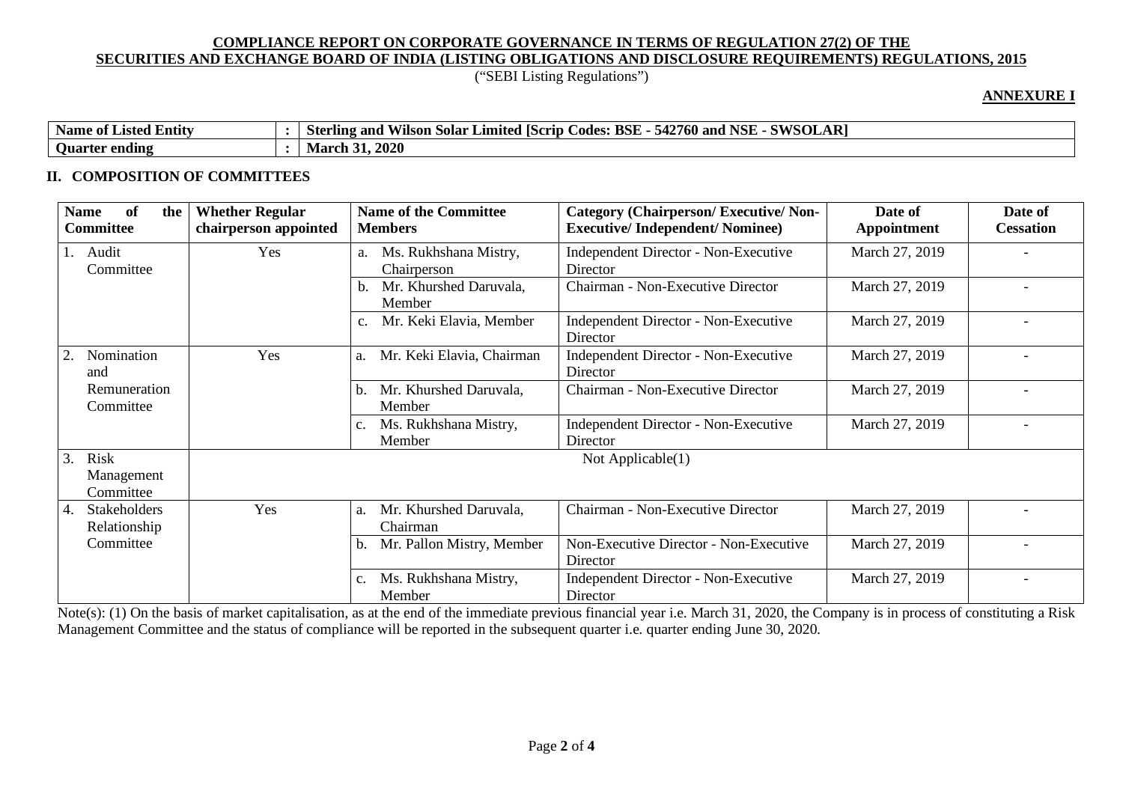## ("SEBI Listing Regulations")

### **ANNEXURE I**

| $\mathbf{v}$<br>$\cdot$ .<br><b>Name</b><br>e of Listed Entity | $\mathbf{A}\mathbf{R}$<br><b>SWSOL</b><br>$\sqrt{2}$<br><b>NICI</b><br>n.<br>BSE<br>760 and<br>Codes:<br>Sterling<br>vilson Solar<br><b>ISCrip</b><br>Limited<br>and<br>542<br>NSF |
|----------------------------------------------------------------|------------------------------------------------------------------------------------------------------------------------------------------------------------------------------------|
| ⌒<br><b>Ouarter</b><br>ending                                  | <i><b>s1, 2020</b></i><br>Mar<br>UU J                                                                                                                                              |

### **II. COMPOSITION OF COMMITTEES**

| of<br><b>Name</b><br>the<br><b>Committee</b> | <b>Whether Regular</b><br>chairperson appointed | <b>Name of the Committee</b><br><b>Members</b>    | <b>Category (Chairperson/Executive/Non-</b><br><b>Executive/Independent/Nominee)</b> | Date of<br>Appointment | Date of<br><b>Cessation</b> |
|----------------------------------------------|-------------------------------------------------|---------------------------------------------------|--------------------------------------------------------------------------------------|------------------------|-----------------------------|
| Audit<br>Committee                           | Yes                                             | Ms. Rukhshana Mistry,<br>a.<br>Chairperson        | <b>Independent Director - Non-Executive</b><br>Director                              | March 27, 2019         |                             |
|                                              |                                                 | Mr. Khurshed Daruvala,<br>b.<br>Member            | Chairman - Non-Executive Director                                                    | March 27, 2019         |                             |
|                                              |                                                 | Mr. Keki Elavia, Member<br>c.                     | <b>Independent Director - Non-Executive</b><br>Director                              | March 27, 2019         |                             |
| Nomination<br>and                            | Yes                                             | Mr. Keki Elavia, Chairman<br>a.                   | Independent Director - Non-Executive<br>Director                                     | March 27, 2019         | $\overline{\phantom{0}}$    |
| Remuneration<br>Committee                    |                                                 | Mr. Khurshed Daruvala,<br>b.<br>Member            | Chairman - Non-Executive Director                                                    | March 27, 2019         |                             |
|                                              |                                                 | Ms. Rukhshana Mistry,<br>$\mathbf{c}$ .<br>Member | <b>Independent Director - Non-Executive</b><br>Director                              | March 27, 2019         |                             |
| 3.<br>Risk<br>Management<br>Committee        |                                                 |                                                   | Not Applicable $(1)$                                                                 |                        |                             |
| Stakeholders<br>4.<br>Relationship           | Yes                                             | Mr. Khurshed Daruvala,<br>a.<br>Chairman          | Chairman - Non-Executive Director                                                    | March 27, 2019         |                             |
| Committee                                    |                                                 | Mr. Pallon Mistry, Member<br>b.                   | Non-Executive Director - Non-Executive<br>Director                                   | March 27, 2019         |                             |
|                                              |                                                 | Ms. Rukhshana Mistry,<br>c.<br>Member             | <b>Independent Director - Non-Executive</b><br>Director                              | March 27, 2019         |                             |

Note(s): (1) On the basis of market capitalisation, as at the end of the immediate previous financial year i.e. March 31, 2020, the Company is in process of constituting a Risk Management Committee and the status of compliance will be reported in the subsequent quarter i.e. quarter ending June 30, 2020.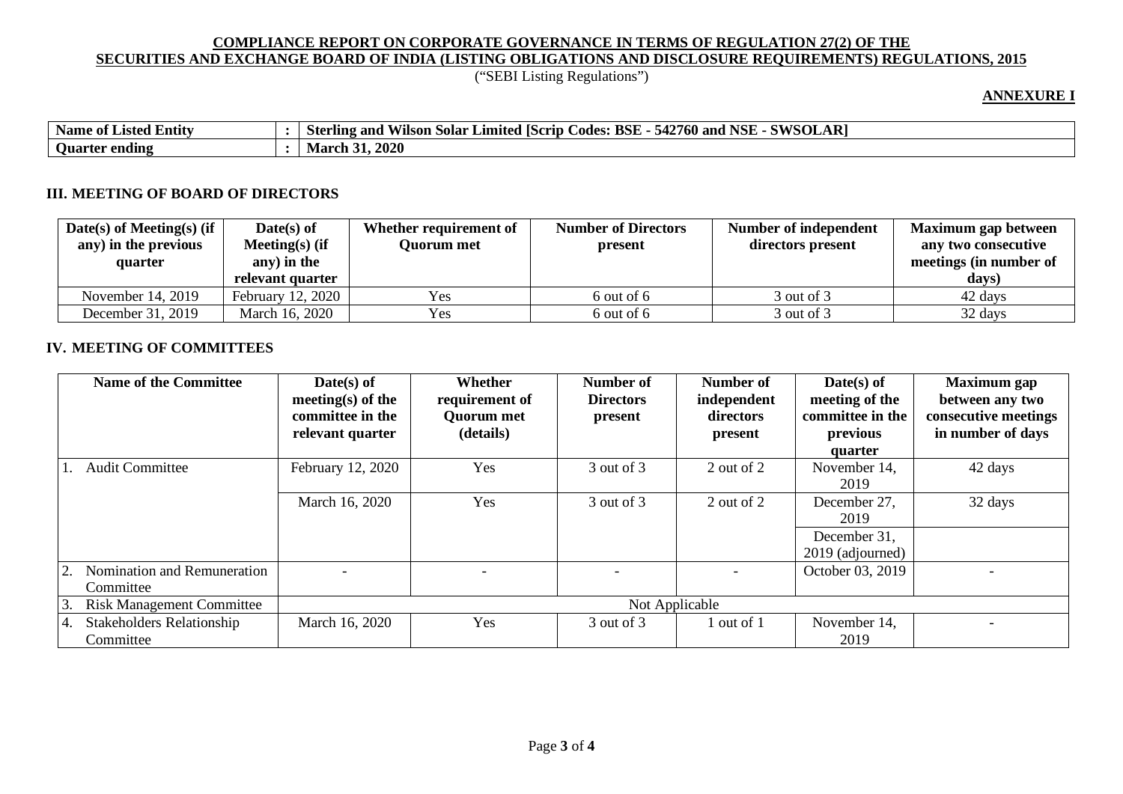# ("SEBI Listing Regulations")

## **ANNEXURE I**

| <b>Name</b><br>$\cdot$ .<br>e of Listed Entity | SOLAR <sup>1</sup><br>CVIICOT<br><b>BSE</b><br>542760 and<br>NCL<br>Ω.<br>Limited<br>and<br>_odec<br>Vilson Solar<br>AS Crip<br>- sterling<br>INDE<br><u> ۷۷۰ ن</u> |
|------------------------------------------------|---------------------------------------------------------------------------------------------------------------------------------------------------------------------|
| $\sim$<br>Ouarter<br>• ending                  | <b>2020</b><br>- March                                                                                                                                              |

## **III. MEETING OF BOARD OF DIRECTORS**

| Date(s) of Meeting(s) (if $\vert$<br>any) in the previous<br>quarter | $Date(s)$ of<br>Meeting $(s)$ (if<br>any) in the | Whether requirement of<br>Ouorum met | <b>Number of Directors</b><br>present | <b>Number of independent</b><br>directors present | Maximum gap between<br>any two consecutive<br>meetings (in number of |
|----------------------------------------------------------------------|--------------------------------------------------|--------------------------------------|---------------------------------------|---------------------------------------------------|----------------------------------------------------------------------|
|                                                                      | relevant quarter                                 |                                      |                                       |                                                   | days)                                                                |
| November 14, 2019                                                    | February 12, 2020                                | Yes                                  | $6$ out of $6$                        | 3 out of 3                                        | 42 days                                                              |
| December 31, 2019                                                    | March 16, 2020                                   | <b>Yes</b>                           | 6 out of 6                            | 3 out of 3                                        | 32 days                                                              |

### **IV. MEETING OF COMMITTEES**

|    | <b>Name of the Committee</b>                  | $Date(s)$ of<br>meeting(s) of the<br>committee in the<br>relevant quarter | Whether<br>requirement of<br><b>Quorum met</b><br>(details) | Number of<br><b>Directors</b><br>present | Number of<br>independent<br>directors<br>present | $Date(s)$ of<br>meeting of the<br>committee in the<br>previous<br>quarter | <b>Maximum</b> gap<br>between any two<br>consecutive meetings<br>in number of days |
|----|-----------------------------------------------|---------------------------------------------------------------------------|-------------------------------------------------------------|------------------------------------------|--------------------------------------------------|---------------------------------------------------------------------------|------------------------------------------------------------------------------------|
|    | <b>Audit Committee</b>                        | February 12, 2020                                                         | Yes                                                         | 3 out of 3                               | 2 out of 2                                       | November 14,<br>2019                                                      | 42 days                                                                            |
|    |                                               | March 16, 2020                                                            | Yes                                                         | 3 out of 3                               | 2 out of 2                                       | December 27,<br>2019                                                      | 32 days                                                                            |
|    |                                               |                                                                           |                                                             |                                          |                                                  | December 31,<br>2019 (adjourned)                                          |                                                                                    |
|    | Nomination and Remuneration<br>Committee      |                                                                           |                                                             |                                          |                                                  | October 03, 2019                                                          |                                                                                    |
| 3. | <b>Risk Management Committee</b>              |                                                                           |                                                             | Not Applicable                           |                                                  |                                                                           |                                                                                    |
| 4. | <b>Stakeholders Relationship</b><br>Committee | March 16, 2020                                                            | Yes                                                         | 3 out of 3                               | out of $1$                                       | November 14,<br>2019                                                      |                                                                                    |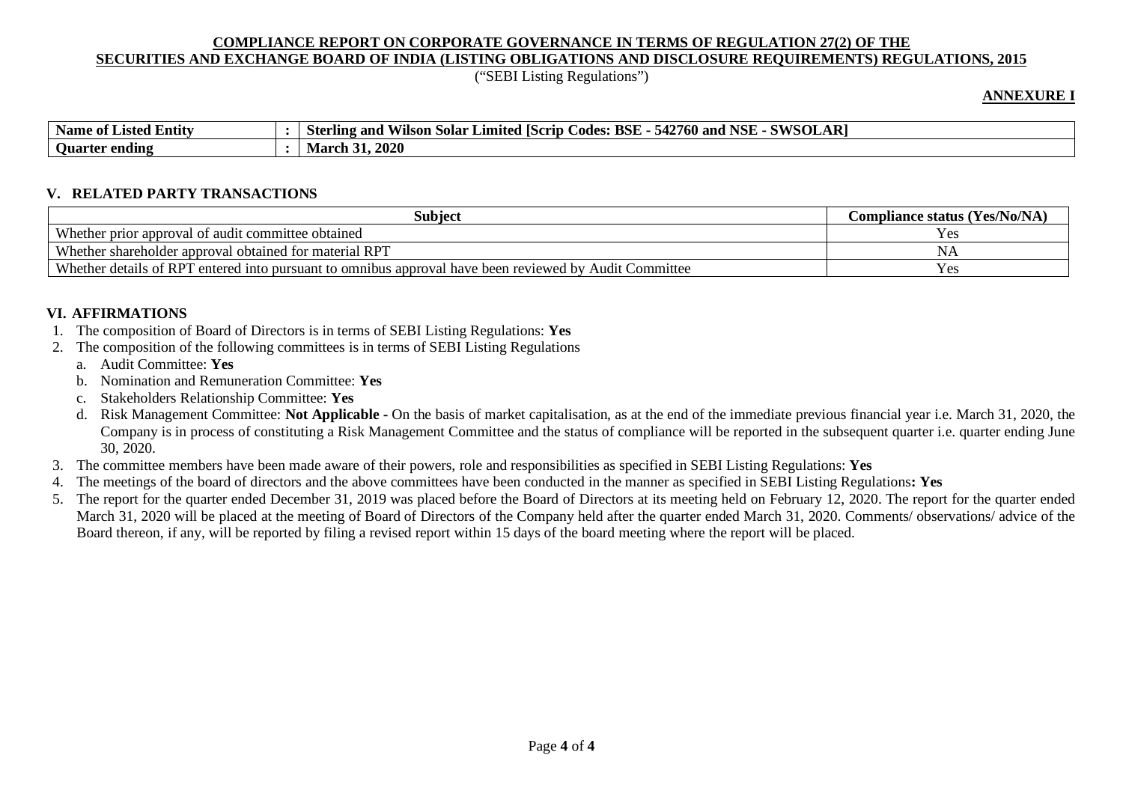("SEBI Listing Regulations")

#### **ANNEXURE I**

| $\cdot$ .<br><b>Name</b><br><b>Entity</b><br>: Listed<br>- of | <b>JOLAR</b><br><b>BSF</b><br>$\mathbf{X}$<br>. SWSOL<br>$\Delta$<br>70 M<br>\2760 and<br>.50lar<br>oder.<br>and<br>Limited<br>IScrid-<br>Sterling<br>vuson<br>54.<br>⊃ V⊻<br>WI |
|---------------------------------------------------------------|----------------------------------------------------------------------------------------------------------------------------------------------------------------------------------|
| $\sim$<br><b>Ouarter ending</b>                               | .2020<br>$\blacksquare$ March $\mathcal{F}$                                                                                                                                      |

#### **V. RELATED PARTY TRANSACTIONS**

| Subiect                                                                                                                                               | <b>Compliance status (Yes/No/NA)</b> |  |  |  |  |  |  |
|-------------------------------------------------------------------------------------------------------------------------------------------------------|--------------------------------------|--|--|--|--|--|--|
| Whether prior approval of audit committee obtained                                                                                                    | ، م ⁄<br><b>A</b> UN                 |  |  |  |  |  |  |
| Whether shareholder approval obtained for material RPT                                                                                                |                                      |  |  |  |  |  |  |
| Whether details of RPT<br>entered into pursuant to omnibus approval have been reviewed by Audit Committee<br>$\vee$ $\triangle$ $\heartsuit$<br>1 U.S |                                      |  |  |  |  |  |  |

### **VI. AFFIRMATIONS**

- 1. The composition of Board of Directors is in terms of SEBI Listing Regulations: **Yes**
- 2. The composition of the following committees is in terms of SEBI Listing Regulations
	- a. Audit Committee: **Yes**
	- b. Nomination and Remuneration Committee: **Yes**
	- c. Stakeholders Relationship Committee: **Yes**
	- d. Risk Management Committee: **Not Applicable -** On the basis of market capitalisation, as at the end of the immediate previous financial year i.e. March 31, 2020, the Company is in process of constituting a Risk Management Committee and the status of compliance will be reported in the subsequent quarter i.e. quarter ending June 30, 2020.
- 3. The committee members have been made aware of their powers, role and responsibilities as specified in SEBI Listing Regulations: **Yes**
- 4. The meetings of the board of directors and the above committees have been conducted in the manner as specified in SEBI Listing Regulations**: Yes**
- 5. The report for the quarter ended December 31, 2019 was placed before the Board of Directors at its meeting held on February 12, 2020. The report for the quarter ended March 31, 2020 will be placed at the meeting of Board of Directors of the Company held after the quarter ended March 31, 2020. Comments/ observations/ advice of the Board thereon, if any, will be reported by filing a revised report within 15 days of the board meeting where the report will be placed.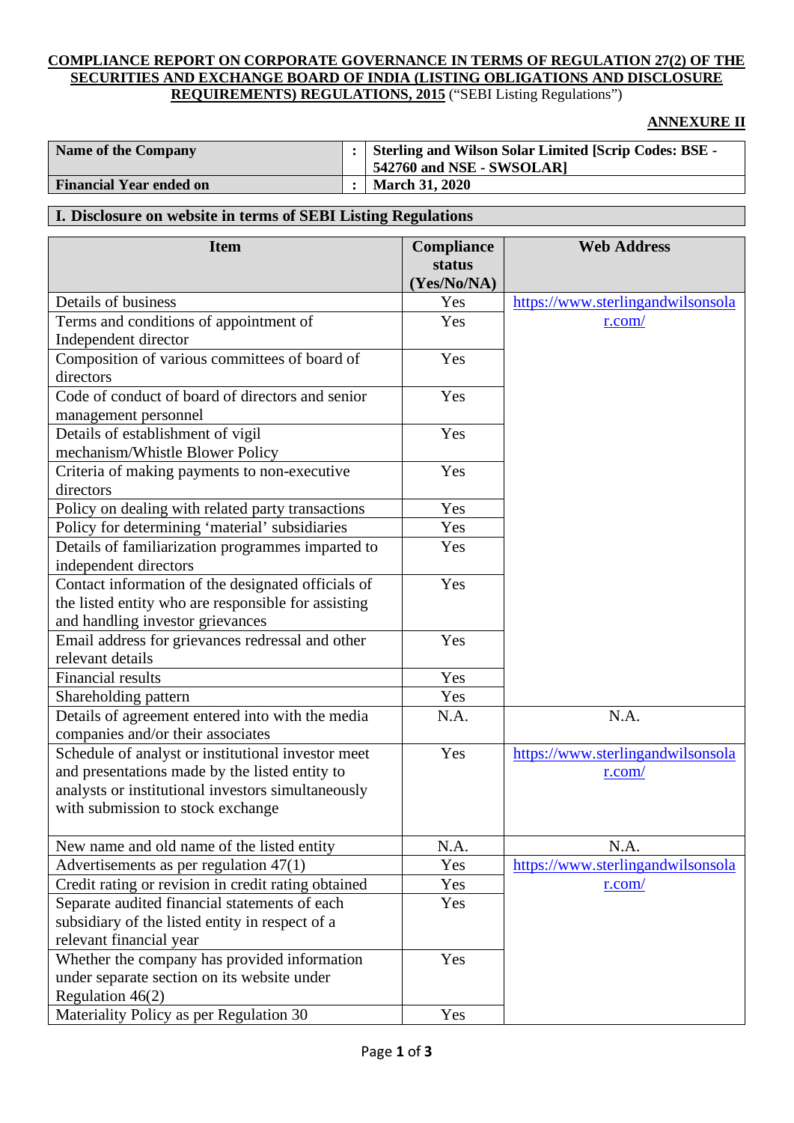### **ANNEXURE II**

| <b>Name of the Company</b>     | :   Sterling and Wilson Solar Limited [Scrip Codes: BSE -<br>$\vert$ 542760 and NSE - SWSOLAR] |
|--------------------------------|------------------------------------------------------------------------------------------------|
| <b>Financial Year ended on</b> | <b>March 31, 2020</b>                                                                          |

## **I. Disclosure on website in terms of SEBI Listing Regulations**

| <b>Item</b>                                         | Compliance  | <b>Web Address</b>                |
|-----------------------------------------------------|-------------|-----------------------------------|
|                                                     | status      |                                   |
|                                                     | (Yes/No/NA) |                                   |
| Details of business                                 | Yes         | https://www.sterlingandwilsonsola |
| Terms and conditions of appointment of              | Yes         | r.com/                            |
| Independent director                                |             |                                   |
| Composition of various committees of board of       | Yes         |                                   |
| directors                                           |             |                                   |
| Code of conduct of board of directors and senior    | Yes         |                                   |
| management personnel                                |             |                                   |
| Details of establishment of vigil                   | Yes         |                                   |
| mechanism/Whistle Blower Policy                     |             |                                   |
| Criteria of making payments to non-executive        | Yes         |                                   |
| directors                                           |             |                                   |
| Policy on dealing with related party transactions   | Yes         |                                   |
| Policy for determining 'material' subsidiaries      | Yes         |                                   |
| Details of familiarization programmes imparted to   | Yes         |                                   |
| independent directors                               |             |                                   |
| Contact information of the designated officials of  | Yes         |                                   |
| the listed entity who are responsible for assisting |             |                                   |
| and handling investor grievances                    |             |                                   |
| Email address for grievances redressal and other    | Yes         |                                   |
| relevant details                                    |             |                                   |
| <b>Financial results</b>                            | Yes         |                                   |
| Shareholding pattern                                | Yes         |                                   |
| Details of agreement entered into with the media    | N.A.        | N.A.                              |
| companies and/or their associates                   |             |                                   |
| Schedule of analyst or institutional investor meet  | Yes         | https://www.sterlingandwilsonsola |
| and presentations made by the listed entity to      |             | r.com/                            |
| analysts or institutional investors simultaneously  |             |                                   |
| with submission to stock exchange                   |             |                                   |
|                                                     |             |                                   |
| New name and old name of the listed entity          | N.A.        | N.A.                              |
| Advertisements as per regulation $47(1)$            | Yes         | https://www.sterlingandwilsonsola |
| Credit rating or revision in credit rating obtained | Yes         | r.com/                            |
| Separate audited financial statements of each       | Yes         |                                   |
| subsidiary of the listed entity in respect of a     |             |                                   |
| relevant financial year                             |             |                                   |
| Whether the company has provided information        | Yes         |                                   |
| under separate section on its website under         |             |                                   |
| Regulation 46(2)                                    |             |                                   |
| Materiality Policy as per Regulation 30             | Yes         |                                   |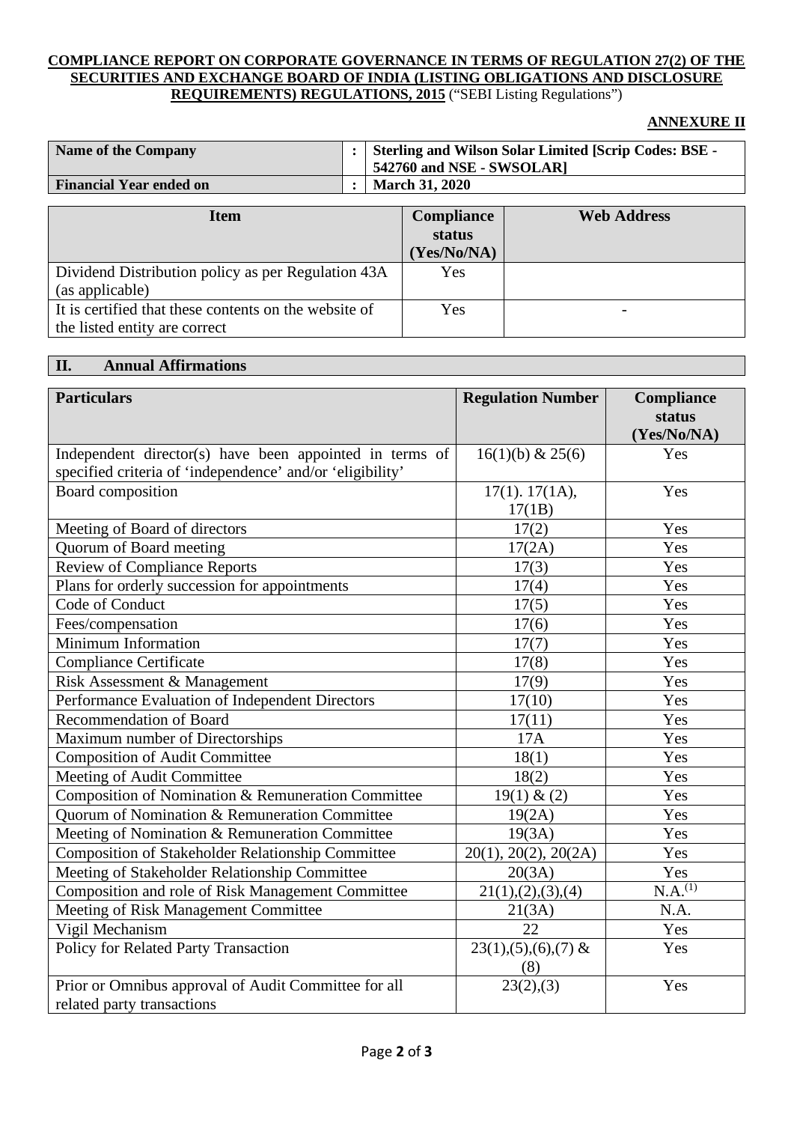### **ANNEXURE II**

| Name of the Company            | <b>Sterling and Wilson Solar Limited [Scrip Codes: BSE -</b><br>542760 and NSE - SWSOLAR] |
|--------------------------------|-------------------------------------------------------------------------------------------|
| <b>Financial Year ended on</b> | <b>March 31, 2020</b>                                                                     |

| Item                                                  | <b>Compliance</b> | <b>Web Address</b> |
|-------------------------------------------------------|-------------------|--------------------|
|                                                       | status            |                    |
|                                                       | (Yes/No/NA)       |                    |
| Dividend Distribution policy as per Regulation 43A    | Yes               |                    |
| (as applicable)                                       |                   |                    |
| It is certified that these contents on the website of | Yes               |                    |
| the listed entity are correct                         |                   |                    |

## **II. Annual Affirmations**

| <b>Particulars</b>                                        | <b>Regulation Number</b>        | Compliance<br>status<br>(Yes/No/NA) |
|-----------------------------------------------------------|---------------------------------|-------------------------------------|
| Independent director(s) have been appointed in terms of   | $16(1)(b)$ & 25(6)              | Yes                                 |
| specified criteria of 'independence' and/or 'eligibility' |                                 |                                     |
| Board composition                                         | $17(1)$ . $17(1A)$ ,<br>17(1B)  | Yes                                 |
| Meeting of Board of directors                             | 17(2)                           | Yes                                 |
| Quorum of Board meeting                                   | 17(2A)                          | Yes                                 |
| <b>Review of Compliance Reports</b>                       | 17(3)                           | Yes                                 |
| Plans for orderly succession for appointments             | 17(4)                           | Yes                                 |
| Code of Conduct                                           | 17(5)                           | Yes                                 |
| Fees/compensation                                         | 17(6)                           | Yes                                 |
| Minimum Information                                       | 17(7)                           | Yes                                 |
| <b>Compliance Certificate</b>                             | 17(8)                           | Yes                                 |
| Risk Assessment & Management                              | 17(9)                           | Yes                                 |
| Performance Evaluation of Independent Directors           | 17(10)                          | Yes                                 |
| <b>Recommendation of Board</b>                            | 17(11)                          | Yes                                 |
| Maximum number of Directorships                           | 17A                             | Yes                                 |
| Composition of Audit Committee                            | 18(1)                           | Yes                                 |
| Meeting of Audit Committee                                | 18(2)                           | Yes                                 |
| Composition of Nomination & Remuneration Committee        | 19(1) & (2)                     | Yes                                 |
| Quorum of Nomination & Remuneration Committee             | 19(2A)                          | Yes                                 |
| Meeting of Nomination & Remuneration Committee            | 19(3A)                          | Yes                                 |
| <b>Composition of Stakeholder Relationship Committee</b>  | 20(1), 20(2), 20(2A)            | Yes                                 |
| Meeting of Stakeholder Relationship Committee             | 20(3A)                          | Yes                                 |
| Composition and role of Risk Management Committee         | 21(1), (2), (3), (4)            | N.A. <sup>(1)</sup>                 |
| Meeting of Risk Management Committee                      | 21(3A)                          | N.A.                                |
| Vigil Mechanism                                           | 22                              | Yes                                 |
| Policy for Related Party Transaction                      | $23(1), (5), (6), (7)$ &<br>(8) | Yes                                 |
| Prior or Omnibus approval of Audit Committee for all      | 23(2),(3)                       | Yes                                 |
| related party transactions                                |                                 |                                     |